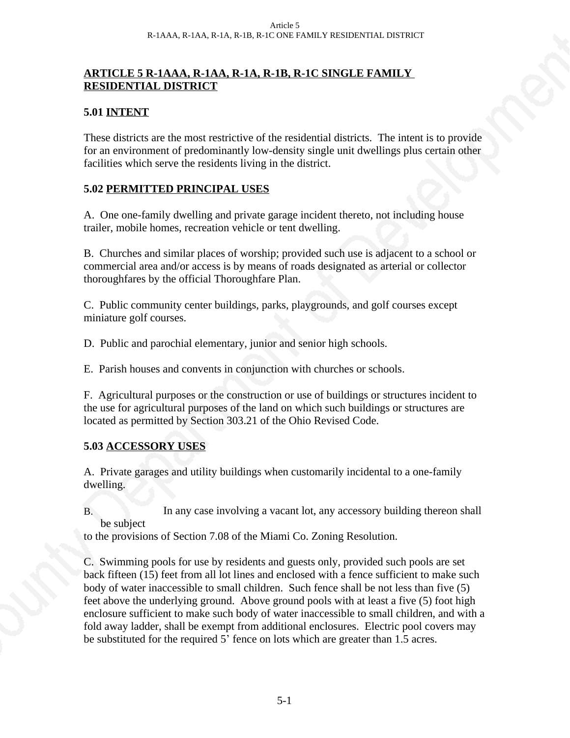#### **ARTICLE 5 R-1AAA, R-1AA, R-1A, R-1B, R-1C SINGLE FAMILY RESIDENTIAL DISTRICT**

#### **5.01 INTENT**

These districts are the most restrictive of the residential districts. The intent is to provide for an environment of predominantly low-density single unit dwellings plus certain other facilities which serve the residents living in the district.

#### **5.02 PERMITTED PRINCIPAL USES**

A. One one-family dwelling and private garage incident thereto, not including house trailer, mobile homes, recreation vehicle or tent dwelling.

B. Churches and similar places of worship; provided such use is adjacent to a school or commercial area and/or access is by means of roads designated as arterial or collector thoroughfares by the official Thoroughfare Plan.

C. Public community center buildings, parks, playgrounds, and golf courses except miniature golf courses.

D. Public and parochial elementary, junior and senior high schools.

E. Parish houses and convents in conjunction with churches or schools.

F. Agricultural purposes or the construction or use of buildings or structures incident to the use for agricultural purposes of the land on which such buildings or structures are located as permitted by Section 303.21 of the Ohio Revised Code.

# **5.03 ACCESSORY USES**

A. Private garages and utility buildings when customarily incidental to a one-family dwelling.

B. In any case involving a vacant lot, any accessory building thereon shall be subject

to the provisions of Section 7.08 of the Miami Co. Zoning Resolution.

C. Swimming pools for use by residents and guests only, provided such pools are set back fifteen (15) feet from all lot lines and enclosed with a fence sufficient to make such body of water inaccessible to small children. Such fence shall be not less than five (5) feet above the underlying ground.Above ground pools with at least a five (5) foot high enclosure sufficient to make such body of water inaccessible to small children, and with a fold away ladder, shall be exempt from additional enclosures. Electric pool covers may be substituted for the required 5' fence on lots which are greater than 1.5 acres.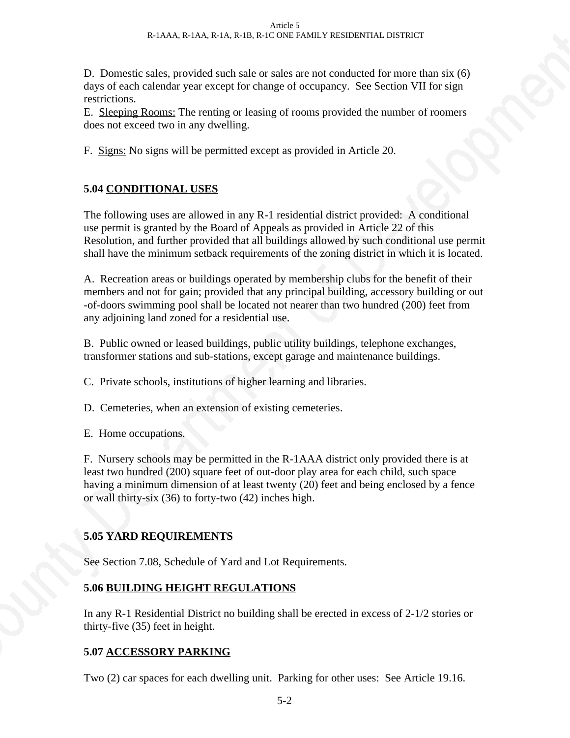D. Domestic sales, provided such sale or sales are not conducted for more than six (6) days of each calendar year except for change of occupancy. See Section VII for sign restrictions.

E. Sleeping Rooms: The renting or leasing of rooms provided the number of roomers does not exceed two in any dwelling.

F. Signs: No signs will be permitted except as provided in Article 20.

# **5.04 CONDITIONAL USES**

The following uses are allowed in any R-1 residential district provided: A conditional use permit is granted by the Board of Appeals as provided in Article 22 of this Resolution, and further provided that all buildings allowed by such conditional use permit shall have the minimum setback requirements of the zoning district in which it is located.

A. Recreation areas or buildings operated by membership clubs for the benefit of their members and not for gain; provided that any principal building, accessory building or out -of-doors swimming pool shall be located not nearer than two hundred (200) feet from any adjoining land zoned for a residential use.

B. Public owned or leased buildings, public utility buildings, telephone exchanges, transformer stations and sub-stations, except garage and maintenance buildings.

C. Private schools, institutions of higher learning and libraries.

D. Cemeteries, when an extension of existing cemeteries.

E. Home occupations.

F. Nursery schools may be permitted in the R-1AAA district only provided there is at least two hundred (200) square feet of out-door play area for each child, such space having a minimum dimension of at least twenty (20) feet and being enclosed by a fence or wall thirty-six (36) to forty-two (42) inches high.

# **5.05 YARD REQUIREMENTS**

See Section 7.08, Schedule of Yard and Lot Requirements.

# **5.06 BUILDING HEIGHT REGULATIONS**

In any R-1 Residential District no building shall be erected in excess of 2-1/2 stories or thirty-five (35) feet in height.

# **5.07 ACCESSORY PARKING**

Two (2) car spaces for each dwelling unit. Parking for other uses: See Article 19.16.